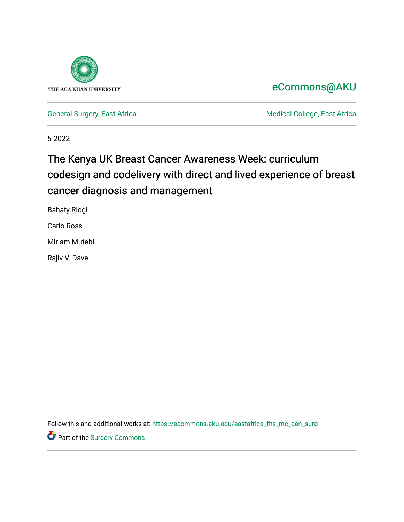

## [eCommons@AKU](https://ecommons.aku.edu/)

[General Surgery, East Africa](https://ecommons.aku.edu/eastafrica_fhs_mc_gen_surg) **Medical College, East Africa** Medical College, East Africa

5-2022

# The Kenya UK Breast Cancer Awareness Week: curriculum codesign and codelivery with direct and lived experience of breast cancer diagnosis and management

Bahaty Riogi

Carlo Ross

Miriam Mutebi

Rajiv V. Dave

Follow this and additional works at: [https://ecommons.aku.edu/eastafrica\\_fhs\\_mc\\_gen\\_surg](https://ecommons.aku.edu/eastafrica_fhs_mc_gen_surg?utm_source=ecommons.aku.edu%2Feastafrica_fhs_mc_gen_surg%2F67&utm_medium=PDF&utm_campaign=PDFCoverPages) 

Part of the [Surgery Commons](https://network.bepress.com/hgg/discipline/706?utm_source=ecommons.aku.edu%2Feastafrica_fhs_mc_gen_surg%2F67&utm_medium=PDF&utm_campaign=PDFCoverPages)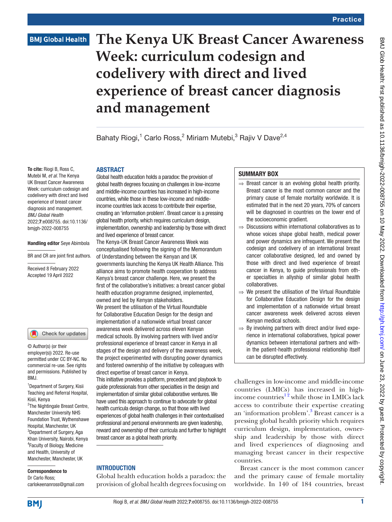## **BMJ Global Health**

# **The Kenya UK Breast Cancer Awareness Week: curriculum codesign and codelivery with direct and lived experience of breast cancer diagnosis and management**

Bahaty Riogi,<sup>1</sup> Carlo Ross,<sup>2</sup> Miriam Mutebi,<sup>3</sup> Rajiv V Dave<sup>2,4</sup>

#### ABSTRACT

To cite: Riogi B, Ross C, Mutebi M, *et al*. The Kenya UK Breast Cancer Awareness Week: curriculum codesign and codelivery with direct and lived experience of breast cancer diagnosis and management. *BMJ Global Health* 2022;7:e008755. doi:10.1136/ bmjgh-2022-008755

#### Handling editor Seye Abimbola

BR and CR are joint first authors.

Received 8 February 2022 Accepted 19 April 2022

#### Check for updates

© Author(s) (or their employer(s)) 2022. Re-use permitted under CC BY-NC. No commercial re-use. See rights and permissions. Published by BMJ.

<sup>1</sup> Department of Surgery, Kisii Teaching and Referral Hospital, Kisii, Kenya

<sup>2</sup>The Nightingale Breast Centre, Manchester University NHS Foundation Trust, Wythenshawe Hospital, Manchester, UK 3 Department of Surgery, Aga Khan University, Nairobi, Kenya 4 Faculty of Biology, Medicine and Health, University of Manchester, Manchester, UK

## Correspondence to

Dr Carlo Ross; carlokeenanross@gmail.com

Global health education holds a paradox: the provision of global health degrees focusing on challenges in low-income and middle-income countries has increased in high-income countries, while those in these low-income and middleincome countries lack access to contribute their expertise, creating an 'information problem'. Breast cancer is a pressing global health priority, which requires curriculum design, implementation, ownership and leadership by those with direct and lived experience of breast cancer.

The Kenya-UK Breast Cancer Awareness Week was conceptualised following the signing of the Memorandum of Understanding between the Kenyan and UK

governments launching the Kenya UK Health Alliance. This alliance aims to promote health cooperation to address Kenya's breast cancer challenge. Here, we present the first of the collaborative's initiatives: a breast cancer global health education programme designed, implemented, owned and led by Kenyan stakeholders.

We present the utilisation of the Virtual Roundtable for Collaborative Education Design for the design and implementation of a nationwide virtual breast cancer awareness week delivered across eleven Kenyan medical schools. By involving partners with lived and/or professional experience of breast cancer in Kenya in all stages of the design and delivery of the awareness week, the project experimented with disrupting power dynamics and fostered ownership of the initiative by colleagues with direct expertise of breast cancer in Kenya.

This initiative provides a platform, precedent and playbook to guide professionals from other specialties in the design and implementation of similar global collaborative ventures. We have used this approach to continue to advocate for global health curricula design change, so that those with lived experiences of global health challenges in their contextualised professional and personal environments are given leadership, reward and ownership of their curricula and further to highlight breast cancer as a global heath priority.

### INTRODUCTION

Global health education holds a paradox: the provision of global health degrees focusing on

## SUMMARY BOX

- $\Rightarrow$  Breast cancer is an evolving global health priority. Breast cancer is the most common cancer and the primary cause of female mortality worldwide. It is estimated that in the next 20 years, 70% of cancers will be diagnosed in countries on the lower end of the socioeconomic gradient.
- ⇒ Discussions within international collaboratives as to whose voices shape global health, medical power and power dynamics are infrequent. We present the codesign and codelivery of an international breast cancer collaborative designed, led and owned by those with direct and lived experience of breast cancer in Kenya, to guide professionals from other specialties in allyship of similar global health collaboratives.
- ⇒ We present the utilisation of the Virtual Roundtable for Collaborative Education Design for the design and implementation of a nationwide virtual breast cancer awareness week delivered across eleven Kenyan medical schools.
- $\Rightarrow$  By involving partners with direct and/or lived experience in international collaboratives, typical power dynamics between international partners and within the patient-health professional relationship itself can be disrupted effectively.

challenges in low-income and middle-income countries (LMICs) has increased in highincome countries<sup>12</sup> while those in LMICs lack access to contribute their expertise creating an 'information problem'.<sup>3</sup> Breast cancer is a pressing global health priority which requires curriculum design, implementation, ownership and leadership by those with direct and lived experiences of diagnosing and managing breast cancer in their respective countries.

Breast cancer is the most common cancer and the primary cause of female mortality worldwide. In 140 of 184 countries, breast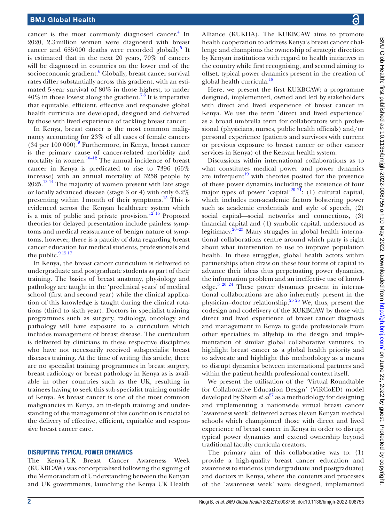cancer is the most commonly diagnosed cancer.<sup>[4](#page-8-2)</sup> In 2020, 2.3million women were diagnosed with breast cancer and  $685000$  deaths were recorded globally.<sup>5</sup> It is estimated that in the next 20 years, 70% of cancers will be diagnosed in countries on the lower end of the socioeconomic gradient.<sup>6</sup> Globally, breast cancer survival rates differ substantially across this gradient, with an estimated 5-year survival of 80% in those highest, to under  $40\%$  in those lowest along the gradient.<sup>78</sup> It is imperative that equitable, efficient, effective and responsive global health curricula are developed, designed and delivered by those with lived experience of tackling breast cancer.

In Kenya, breast cancer is the most common malignancy accounting for 23% of all cases of female cancers (34 per 100 000).[9](#page-8-6) Furthermore, in Kenya, breast cancer is the primary cause of cancer-related morbidity and mortality in women. $10-12$  The annual incidence of breast cancer in Kenya is predicated to rise to 7396 (66% increase) with an annual mortality of 3258 people by  $2025$ .<sup>13 14</sup> The majority of women present with late stage or locally advanced disease (stage 3 or 4) with only 6.2% presenting within 1 month of their symptoms.<sup>15</sup> This is evidenced across the Kenyan healthcare system which is a mix of public and private provision.<sup>12'16</sup> Proposed theories for delayed presentation include painless symptoms and medical reassurance of benign nature of symptoms, however, there is a paucity of data regarding breast cancer education for medical students, professionals and the public.<sup>9</sup> <sup>15</sup> <sup>17</sup>

In Kenya, the breast cancer curriculum is delivered to undergraduate and postgraduate students as part of their training. The basics of breast anatomy, physiology and pathology are taught in the 'preclinical years' of medical school (first and second year) while the clinical application of this knowledge is taught during the clinical rotations (third to sixth year). Doctors in specialist training programmes such as surgery, radiology, oncology and pathology will have exposure to a curriculum which includes management of breast disease. The curriculum is delivered by clinicians in these respective disciplines who have not necessarily received subspecialist breast diseases training. At the time of writing this article, there are no specialist training programmes in breast surgery, breast radiology or breast pathology in Kenya as is available in other countries such as the UK, resulting in trainees having to seek this sub-specialist training outside of Kenya. As breast cancer is one of the most common malignancies in Kenya, an in-depth training and understanding of the management of this condition is crucial to the delivery of effective, efficient, equitable and responsive breast cancer care.

#### DISRUPTING TYPICAL POWER DYNAMICS

The Kenya-UK Breast Cancer Awareness Week (KUKBCAW) was conceptualised following the signing of the Memorandum of Understanding between the Kenyan and UK governments, launching the Kenya UK Health

Alliance (KUKHA). The KUKBCAW aims to promote health cooperation to address Kenya's breast cancer challenge and champions the ownership of strategic direction by Kenyan institutions with regard to health initiatives in the country while first recognising, and second aiming to offset, typical power dynamics present in the creation of global health curricula.<sup>18</sup>

Here, we present the first KUKBCAW; a programme designed, implemented, owned and led by stakeholders with direct and lived experience of breast cancer in Kenya. We use the term 'direct and lived experience' as a broad umbrella term for collaborators with professional (physicians, nurses, public health officials) and/or personal experience (patients and survivors with current or previous exposure to breast cancer or other cancer services in Kenya) of the Kenyan health system.

Discussions within international collaborations as to what constitutes medical power and power dynamics are infrequent<sup>19</sup> with theories posited for the presence of these power dynamics including the existence of four major types of power 'capital'<sup>20 21</sup>: (1) cultural capital, which includes non-academic factors bolstering power such as academic credentials and style of speech, (2) social capital—social networks and connections, (3) financial capital and (4) symbolic capital, understood as legitimacy.<sup>20–23</sup> Many struggles in global health international collaborations centre around which party is right about what intervention to use to improve population health. In these struggles, global health actors within partnerships often draw on these four forms of capital to advance their ideas thus perpetuating power dynamics, the information problem and an ineffective use of knowledge[.3 20 24](#page-8-1) These power dynamics present in international collaborations are also inherently present in the physician–doctor relationship.[25 26](#page-8-14) We, thus, present the codesign and codelivery of the KUKBCAW by those with direct and lived experience of breast cancer diagnosis and management in Kenya to guide professionals from other specialties in allyship in the design and implementation of similar global collaborative ventures, to highlight breast cancer as a global health priority and to advocate and highlight this methodology as a means to disrupt dynamics between international partners and within the patient-health professional context itself.

We present the utilisation of the 'Virtual Roundtable for Collaborative Education Design' (ViRCoED) model developed by Sbaiti *et*  $a^{27}$  as a methodology for designing and implementing a nationwide virtual breast cancer 'awareness week' delivered across eleven Kenyan medical schools which championed those with direct and lived experience of breast cancer in Kenya in order to disrupt typical power dynamics and extend ownership beyond traditional faculty curricula creators.

The primary aim of this collaborative was to: (1) provide a high-quality breast cancer education and awareness to students (undergraduate and postgraduate) and doctors in Kenya, where the contents and processes of the 'awareness week' were designed, implemented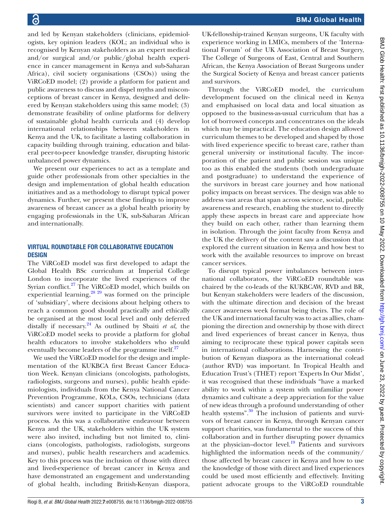and led by Kenyan stakeholders (clinicians, epidemiologists, key opinion leaders (KOL; an individual who is recognised by Kenyan stakeholders as an expert medical and/or surgical and/or public/global health experience in cancer management in Kenya and sub-Saharan Africa), civil society organisations (CSOs)) using the ViRCoED model; (2) provide a platform for patient and public awareness to discuss and dispel myths and misconceptions of breast cancer in Kenya, designed and delivered by Kenyan stakeholders using this same model; (3) demonstrate feasibility of online platforms for delivery of sustainable global health curricula and (4) develop international relationships between stakeholders in Kenya and the UK, to facilitate a lasting collaboration in capacity building through training, education and bilateral peer-to-peer knowledge transfer, disrupting historic unbalanced power dynamics.

We present our experiences to act as a template and guide other professionals from other specialties in the design and implementation of global health education initiatives and as a methodology to disrupt typical power dynamics. Further, we present these findings to improve awareness of breast cancer as a global health priority by engaging professionals in the UK, sub-Saharan African and internationally.

#### VIRTUAL ROUNDTABLE FOR COLLABORATIVE EDUCATION **DESIGN**

The ViRCoED model was first developed to adapt the Global Health BSc curriculum at Imperial College London to incorporate the lived experiences of the Syrian conflict.<sup>27</sup> The ViRCoED model, which builds on experiential learning,  $28\frac{29}{2}$  was formed on the principle of 'subsidiary', where decisions about helping others to reach a common good should practically and ethically be organised at the most local level and only deferred distally if necessary.<sup>24</sup> As outlined by Sbaiti *et al*, the ViRCoED model seeks to provide a platform for global health educators to involve stakeholders who should eventually become leaders of the programme itself. $27$ 

We used the ViRCoED model for the design and implementation of the KUKBCA first Breast Cancer Education Week. Kenyan clinicians (oncologists, pathologists, radiologists, surgeons and nurses), public health epidemiologists, individuals from the Kenya National Cancer Prevention Programme, KOLs, CSOs, technicians (data scientists) and cancer support charities with patient survivors were invited to participate in the ViRCoED process. As this was a collaborative endeavour between Kenya and the UK, stakeholders within the UK system were also invited, including but not limited to, clinicians (oncologists, pathologists, radiologists, surgeons and nurses), public health researchers and academics. Key to this process was the inclusion of those with direct and lived-experience of breast cancer in Kenya and have demonstrated an engagement and understanding of global health, including British-Kenyan diaspora,

UK-fellowship-trained Kenyan surgeons, UK faculty with experience working in LMICs, members of the 'International Forum' of the UK Association of Breast Surgery, The College of Surgeons of East, Central and Southern African, the Kenya Association of Breast Surgeons under the Surgical Society of Kenya and breast cancer patients and survivors.

Through the ViRCoED model, the curriculum development focused on the clinical need in Kenya and emphasised on local data and local situation as opposed to the business-as-usual curriculum that has a lot of borrowed concepts and concentrates on the ideals which may be impractical. The education design allowed curriculum themes to be developed and shaped by those with lived experience specific to breast care, rather than general university or institutional faculty. The incorporation of the patient and public session was unique too as this enabled the students (both undergraduate and postgraduate) to understand the experience of the survivors in breast care journey and how national policy impacts on breast services. The design was able to address vast areas that span across science, social, public awareness and research, enabling the student to directly apply these aspects in breast care and appreciate how they build on each other, rather than learning them in isolation. Through the joint faculty from Kenya and the UK the delivery of the content saw a discussion that explored the current situation in Kenya and how best to work with the available resources to improve on breast cancer services.

To disrupt typical power imbalances between international collaborators, the ViRCoED roundtable was chaired by the co-leads of the KUKBCAW, RVD and BR, but Kenyan stakeholders were leaders of the discussion, with the ultimate direction and decision of the breast cancer awareness week format being theirs. The role of the UK and international faculty was to act as allies, championing the direction and ownership by those with direct and lived experiences of breast cancer in Kenya, thus aiming to reciprocate these typical power capitals seen in international collaborations. Harnessing the contribution of Kenyan diaspora as the international colead (author RVD) was important. In Tropical Health and Education Trust's (THET) report 'Experts In Our Midst', it was recognised that these individuals "have a marked ability to work within a system with unfamiliar power dynamics and cultivate a deep appreciation for the value of new ideas through a profound understanding of other health systems".<sup>30</sup> The inclusion of patients and survivors of breast cancer in Kenya, through Kenyan cancer support charities, was fundamental to the success of this collaboration and in further disrupting power dynamics at the physician–doctor level. $^{19}$  Patients and survivors highlighted the information needs of the community/ those affected by breast cancer in Kenya and how to use the knowledge of those with direct and lived experiences could be used most efficiently and effectively. Inviting patient advocate groups to the ViRCoED roundtable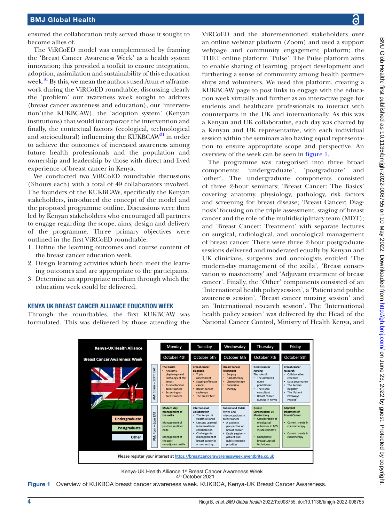ensured the collaboration truly served those it sought to become allies of.

The ViRCoED model was complemented by framing the 'Breast Cancer Awareness Week' as a health system innovation; this provided a toolkit to ensure integration, adoption, assimilation and sustainability of this education week[.31](#page-8-19) By this, we mean the authors used Atun *et al* framework during the ViRCoED roundtable, discussing clearly the 'problem' our awareness week sought to address (breast cancer awareness and education), our 'intervention'(the KUKBCAW), the 'adoption system' (Kenyan institutions) that would incorporate the intervention and finally, the contextual factors (ecological, technological and sociocultural) influencing the KUKBCA $W^{31}$  in order to achieve the outcomes of increased awareness among future health professionals and the population and ownership and leadership by those with direct and lived experience of breast cancer in Kenya.

We conducted two ViRCoED roundtable discussions (3hours each) with a total of 49 collaborators involved. The founders of the KUKBCAW, specifically the Kenyan stakeholders, introduced the concept of the model and the proposed programme outline. Discussions were then led by Kenyan stakeholders who encouraged all partners to engage regarding the scope, aims, design and delivery of the programme. Three primary objectives were outlined in the first ViRCoED roundtable:

- 1. Define the learning outcomes and course content of the breast cancer education week.
- 2. Design learning activities which both meet the learning outcomes and are appropriate to the participants.
- 3. Determine an appropriate medium through which the education week could be delivered.

#### KENYA UK BREAST CANCER ALLIANCE EDUCATION WEEK

Through the roundtables, the first KUKBCAW was formulated. This was delivered by those attending the

ViRCoED and the aforementioned stakeholders over an online webinar platform (Zoom) and used a support webpage and community engagement platform; the THET online platform 'Pulse'. The Pulse platform aims to enable sharing of learning, project development and furthering a sense of community among health partnerships and volunteers. We used this platform, creating a KUKBCAW page to post links to engage with the education week virtually and further as an interactive page for students and healthcare professionals to interact with counterparts in the UK and internationally. As this was a Kenyan and UK collaborative, each day was chaired by a Kenyan and UK representative, with each individual session within the seminars also having equal representation to ensure appropriate scope and perspective. An overview of the week can be seen in [figure](#page-4-0) 1.

The programme was categorised into three broad components: 'undergraduate', 'postgraduate' and 'other'. The undergraduate components consisted of three 2-hour seminars; 'Breast Cancer: The Basics' covering anatomy, physiology, pathology, risk factors and screening for breast disease; 'Breast Cancer: Diagnosis' focusing on the triple assessment, staging of breast cancer and the role of the multidisciplinary team (MDT); and 'Breast Cancer: Treatment' with separate lectures on surgical, radiological, and oncological management of breast cancer. There were three 2-hour postgraduate sessions delivered and moderated equally by Kenyan and UK clinicians, surgeons and oncologists entitled 'The modern-day management of the axilla', 'Breast conservation vs mastectomy' and 'Adjuvant treatment of breast cancer'. Finally, the 'Other' components consisted of an 'International health policy session', a 'Patient and public awareness session', 'Breast cancer nursing session' and an 'International research session'. The 'International health policy session' was delivered by the Head of the National Cancer Control, Ministry of Health Kenya, and



<span id="page-4-0"></span>Kenya-UK Health Alliance 1<sup>st</sup> Breast Cancer Awareness Week 4<sup>th</sup> October 2021

Figure 1 Overview of KUKBCA breast cancer awareness week. KUKBCA, Kenya-UK Breast Cancer Awareness.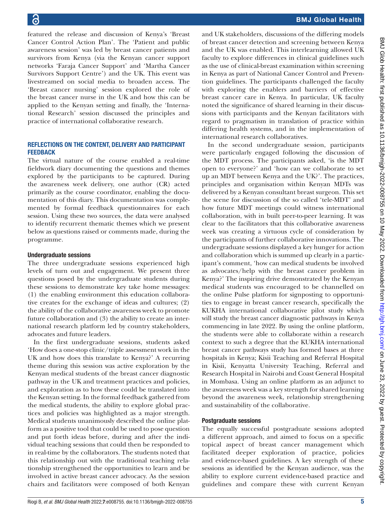featured the release and discussion of Kenya's 'Breast Cancer Control Action Plan'. The 'Patient and public awareness session' was led by breast cancer patients and survivors from Kenya (via the Kenyan cancer support networks 'Faraja Cancer Support' and 'Martha Cancer Survivors Support Centre') and the UK. This event was livestreamed on social media to broaden access. The 'Breast cancer nursing' session explored the role of the breast cancer nurse in the UK and how this can be applied to the Kenyan setting and finally, the 'International Research' session discussed the principles and practice of international collaborative research.

#### REFLECTIONS ON THE CONTENT, DELIVERY AND PARTICIPANT **FEEDBACK**

The virtual nature of the course enabled a real-time fieldwork diary documenting the questions and themes explored by the participants to be captured. During the awareness week delivery, one author (CR) acted primarily as the course coordinator, enabling the documentation of this diary. This documentation was complemented by formal feedback questionnaires for each session. Using these two sources, the data were analysed to identify recurrent thematic themes which we present below as questions raised or comments made, during the programme.

#### Undergraduate sessions

The three undergraduate sessions experienced high levels of turn out and engagement. We present three questions posed by the undergraduate students during these sessions to demonstrate key take home messages: (1) the enabling environment this education collaborative creates for the exchange of ideas and cultures; (2) the ability of the collaborative awareness week to promote future collaboration and (3) the ability to create an international research platform led by country stakeholders, advocates and future leaders.

In the first undergraduate sessions, students asked 'How does a one-stop clinic/triple assessment work in the UK and how does this translate to Kenya?' A recurring theme during this session was active exploration by the Kenyan medical students of the breast cancer diagnostic pathway in the UK and treatment practices and policies, and exploration as to how these could be translated into the Kenyan setting. In the formal feedback gathered from the medical students, the ability to explore global practices and policies was highlighted as a major strength. Medical students unanimously described the online platform as a positive tool that could be used to pose question and put forth ideas before, during and after the individual teaching sessions that could then be responded to in real-time by the collaborators. The students noted that this relationship out with the traditional teaching relationship strengthened the opportunities to learn and be involved in active breast cancer advocacy. As the session chairs and facilitators were composed of both Kenyan

and UK stakeholders, discussions of the differing models of breast cancer detection and screening between Kenya and the UK was enabled. This interlearning allowed UK faculty to explore differences in clinical guidelines such as the use of clinical-breast examination within screening in Kenya as part of National Cancer Control and Prevention guidelines. The participants challenged the faculty with exploring the enablers and barriers of effective breast cancer care in Kenya. In particular, UK faculty noted the significance of shared learning in their discussions with participants and the Kenyan facilitators with regard to pragmatism in translation of practice within differing health systems, and in the implementation of international research collaboratives.

In the second undergraduate session, participants were particularly engaged following the discussion of the MDT process. The participants asked, 'is the MDT open to everyone?' and 'how can we collaborate to set up an MDT between Kenya and the UK?'. The practices, principles and organisation within Kenyan MDTs was delivered by a Kenyan consultant breast surgeon. This set the scene for discussion of the so called 'tele-MDT' and how future MDT meetings could witness international collaboration, with in built peer-to-peer learning. It was clear to the facilitators that this collaborative awareness week was creating a virtuous cycle of consideration by the participants of further collaborative innovations. The undergraduate sessions displayed a key hunger for action and collaboration which is summed up clearly in a participant's comment, 'how can medical students be involved as advocates/help with the breast cancer problem in Kenya?' The inspiring drive demonstrated by the Kenyan medical students was encouraged to be channelled on the online Pulse platform for signposting to opportunities to engage in breast cancer research, specifically the KUKHA international collaborative pilot study which will study the breast cancer diagnostic pathways in Kenya commencing in late 2022. By using the online platform, the students were able to collaborate within a research context to such a degree that the KUKHA international breast cancer pathways study has formed bases at three hospitals in Kenya; Kisii Teaching and Referral Hospital in Kisii, Kenyatta University Teaching, Referral and Research Hospital in Nairobi and Coast General Hospital in Mombasa. Using an online platform as an adjunct to the awareness week was a key strength for shared learning beyond the awareness week, relationship strengthening and sustainability of the collaborative.

#### Postgraduate sessions

The equally successful postgraduate sessions adopted a different approach, and aimed to focus on a specific topical aspect of breast cancer management which facilitated deeper exploration of practice, policies and evidence-based guidelines. A key strength of these sessions as identified by the Kenyan audience, was the ability to explore current evidence-based practice and guidelines and compare these with current Kenyan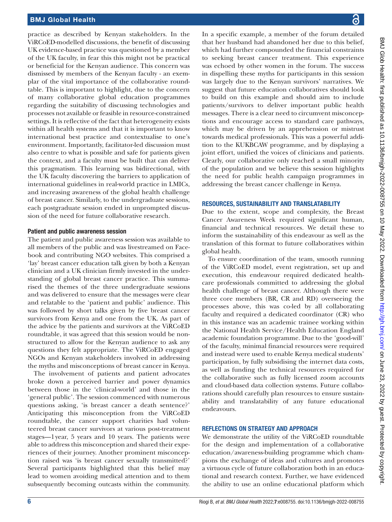#### BMJ Global Health

practice as described by Kenyan stakeholders. In the ViRCoED-modelled discussions, the benefit of discussing UK evidence-based practice was questioned by a member of the UK faculty, in fear this this might not be practical or beneficial for the Kenyan audience. This concern was dismissed by members of the Kenyan faculty - an exemplar of the vital importance of the collaborative roundtable. This is important to highlight, due to the concern of many collaborative global education programmes regarding the suitability of discussing technologies and processes not available or feasible in resource-constrained settings. It is reflective of the fact that heterogeneity exists within all health systems and that it is important to know international best practice and contextualise to one's environment. Importantly, facilitator-led discussion must also centre to what is possible and safe for patients given the context, and a faculty must be built that can deliver this pragmatism. This learning was bidirectional, with the UK faculty discovering the barriers to application of international guidelines in real-world practice in LMICs, and increasing awareness of the global health challenge of breast cancer. Similarly, to the undergraduate sessions, each postgraduate session ended in unprompted discussion of the need for future collaborative research.

#### Patient and public awareness session

The patient and public awareness session was available to all members of the public and was livestreamed on Facebook and contributing NGO websites. This comprised a 'lay' breast cancer education talk given by both a Kenyan clinician and a UK clinician firmly invested in the understanding of global breast cancer practice. This summarised the themes of the three undergraduate sessions and was delivered to ensure that the messages were clear and relatable to the 'patient and public' audience. This was followed by short talks given by five breast cancer survivors from Kenya and one from the UK. As part of the advice by the patients and survivors at the ViRCoED roundtable, it was agreed that this session would be nonstructured to allow for the Kenyan audience to ask any questions they felt appropriate. The ViRCoED engaged NGOs and Kenyan stakeholders involved in addressing the myths and misconceptions of breast cancer in Kenya.

The involvement of patients and patient advocates broke down a perceived barrier and power dynamics between those in the 'clinical-world' and those in the 'general public'. The session commenced with numerous questions asking, 'is breast cancer a death sentence?' Anticipating this misconception from the ViRCoED roundtable, the cancer support charities had volunteered breast cancer survivors at various post-treatment stages—1year, 5 years and 10 years. The patients were able to address this misconception and shared their experiences of their journey. Another prominent misconception raised was 'is breast cancer sexually transmitted?' Several participants highlighted that this belief may lead to women avoiding medical attention and to them subsequently becoming outcasts within the community.

In a specific example, a member of the forum detailed that her husband had abandoned her due to this belief, which had further compounded the financial constraints to seeking breast cancer treatment. This experience was echoed by other women in the forum. The success in dispelling these myths for participants in this session was largely due to the Kenyan survivors' narratives. We suggest that future education collaboratives should look to build on this example and should aim to include patients/survivors to deliver important public health messages. There is a clear need to circumvent misconceptions and encourage access to standard care pathways, which may be driven by an apprehension or mistrust towards medical professionals. This was a powerful addition to the KUKBCAW programme, and by displaying a joint effort, unified the voices of clinicians and patients. Clearly, our collaborative only reached a small minority of the population and we believe this session highlights the need for public health campaign programmes in addressing the breast cancer challenge in Kenya.

#### RESOURCES, SUSTAINABILITY AND TRANSLATABILITY

Due to the extent, scope and complexity, the Breast Cancer Awareness Week required significant human, financial and technical resources. We detail these to inform the sustainability of this endeavour as well as the translation of this format to future collaboratives within global health.

To ensure coordination of the team, smooth running of the ViRCoED model, event registration, set up and execution, this endeavour required dedicated healthcare professionals committed to addressing the global health challenge of breast cancer. Although there were three core members (BR, CR and RD) overseeing the processes above, this was co-led by all collaborating faculty and required a dedicated coordinator (CR) who in this instance was an academic trainee working within the National Health Service/Health Education England academic foundation programme. Due to the 'good-will' of the faculty, minimal financial resources were required and instead were used to enable Kenya medical students' participation, by fully subsidising the internet data costs, as well as funding the technical resources required for the collaborative such as fully licensed zoom accounts and cloud-based data collection systems. Future collaborations should carefully plan resources to ensure sustainability and translatability of any future educational endeavours.

#### REFLECTIONS ON STRATEGY AND APPROACH

We demonstrate the utility of the ViRCoED roundtable for the design and implementation of a collaborative education/awareness-building programme which champions the exchange of ideas and cultures and promotes a virtuous cycle of future collaboration both in an educational and research context. Further, we have evidenced the ability to use an online educational platform which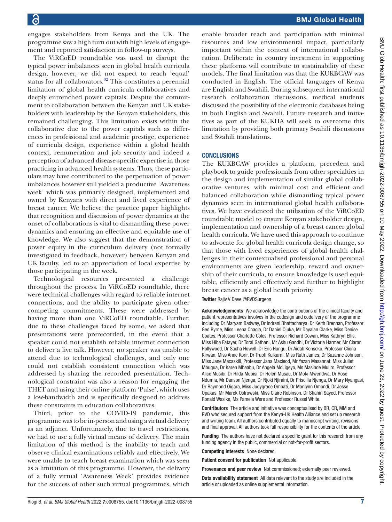engages stakeholders from Kenya and the UK. The programme saw a high turn out with high levels of engagement and reported satisfaction in follow-up surveys.

The ViRCoED roundtable was used to disrupt the typical power imbalances seen in global health curricula design, however, we did not expect to reach 'equal' status for all collaborators.<sup>[32](#page-8-20)</sup> This constitutes a perennial limitation of global health curricula collaboratives and deeply entrenched power capitals. Despite the commitment to collaboration between the Kenyan and UK stakeholders with leadership by the Kenyan stakeholders, this remained challenging. This limitation exists within the collaborative due to the power capitals such as differences in professional and academic prestige, experience of curricula design, experience within a global health context, remuneration and job security and indeed a perception of advanced disease-specific expertise in those practicing in advanced health systems. Thus, these particulars may have contributed to the perpetuation of power imbalances however still yielded a productive 'Awareness week' which was primarily designed, implemented and owned by Kenyans with direct and lived experience of breast cancer. We believe the practice paper highlights that recognition and discussion of power dynamics at the onset of collaborations is vital to dismantling these power dynamics and ensuring an effective and equitable use of knowledge. We also suggest that the demonstration of power equity in the curriculum delivery (not formally investigated in feedback, however) between Kenyan and UK faculty, led to an appreciation of local expertise by those participating in the week.

Technological resources presented a challenge throughout the process. In ViRCoED roundtable, there were technical challenges with regard to reliable internet connections, and the ability to participate given other competing commitments. These were addressed by having more than one ViRCoED roundtable. Further, due to these challenges faced by some, we asked that presentations were prerecorded, in the event that a speaker could not establish reliable internet connection to deliver a live talk. However, no speaker was unable to attend due to technological challenges, and only one could not establish consistent connection which was addressed by sharing the recorded presentation. Technological constraint was also a reason for engaging the THET and using their online platform 'Pulse', which uses a low-bandwidth and is specifically designed to address these constraints in education collaboratives.

Third, prior to the COVID-19 pandemic, this programme was to be in-person and using a virtual delivery as an adjunct. Unfortunately, due to travel restrictions, we had to use a fully virtual means of delivery. The main limitation of this method is the inability to teach and observe clinical examinations reliably and effectively. We were unable to teach breast examination which was seen as a limitation of this programme. However, the delivery of a fully virtual 'Awareness Week' provides evidence for the success of other such virtual programmes, which

enable broader reach and participation with minimal resources and low environmental impact, particularly important within the context of international collaboration. Deliberate in country investment in supporting these platforms will contribute to sustainability of these models. The final limitation was that the KUKBCAW was conducted in English. The official languages of Kenya are English and Swahili. During subsequent international research collaboration discussions, medical students discussed the possibility of the electronic databases being in both English and Swahili. Future research and initiatives as part of the KUKHA will seek to overcome this limitation by providing both primary Swahili discussions and Swahili translations.

#### **CONCLUSIONS**

The KUKBCAW provides a platform, precedent and playbook to guide professionals from other specialties in the design and implementation of similar global collaborative ventures, with minimal cost and efficient and balanced collaboration while dismantling typical power dynamics seen in international global health collaboratives. We have evidenced the utilisation of the ViRCoED roundtable model to ensure Kenyan stakeholder design, implementation and ownership of a breast cancer global health curricula. We have used this approach to continue to advocate for global health curricula design change, so that those with lived experiences of global health challenges in their contextualised professional and personal environments are given leadership, reward and ownership of their curricula, to ensure knowledge is used equitable, efficiently and effectively and further to highlight breast cancer as a global heath priority.

Twitter Rajiv V Dave [@RVDSurgeon](https://twitter.com/RVDSurgeon)

Acknowledgements We acknowledge the contributions of the clinical faculty and patient representatives involves in the codesign and codelivery of the programme including Dr Maryam Badway, Dr Indrani Bhattacharya, Dr Keith Brennan, Professor Ged Byrne, Miss Leena Chagla, Dr Daniel Ojuka, Mr Dayalan Clarke, Miss Denise Coates, Professor Charlotte Coles, Professor Richard Cowan, Miss Kathryn Ellis, Miss Hiba Fatayer, Dr Toral Gathani, Mr Ashu Gandhi, Dr Victoria Harmer, Mr Ciaran Hollywood, Dr Sacha Howell, Dr Eric Hungu, Dr Aidah Kenseko, Professor Cliona Kirwan, Miss Anne Korir, Dr Trupti Kulkarni, Miss Ruth James, Dr Suzanne Johnson, Miss Jane Macaskill, Professor Jana Macleod, Mr Yazan Masannat, Miss Juliet Mbugua, Dr Karen Mbaabu, Dr Angela McLigeyo, Ms Masinde Muliro, Professor Alice Musibi, Dr Hilda Mubisi, Dr Helen Musau, Dr Moki Mwendwa, Dr Rose Ndumia, Mr Danson Njenga, Dr Njoki Njiraini, Dr Priscilla Njenga, Dr Mary Nyangasi, Dr Raymond Oigara, Miss Judygrace Ombati, Dr Marilynn Omondi, Dr Jesse Opakas, Mr Marek Ostrowski, Miss Claire Robinson, Dr Shahin Sayed, Professor Ronald Wasike, Ms Pamela Were and Professor Russel White.

Contributors The article and initiative was conceptualised by BR, CR, MM and RVD who secured support from the Kenya-UK Health Alliance and set up research and writing team. All authors contributed equally to manuscript writing, revisions and final approval. All authors took full responsibility for the contents of the article.

Funding The authors have not declared a specific grant for this research from any funding agency in the public, commercial or not-for-profit sectors.

Competing interests None declared.

Patient consent for publication Not applicable.

Provenance and peer review Not commissioned; externally peer reviewed.

Data availability statement All data relevant to the study are included in the article or uploaded as online supplemental information.